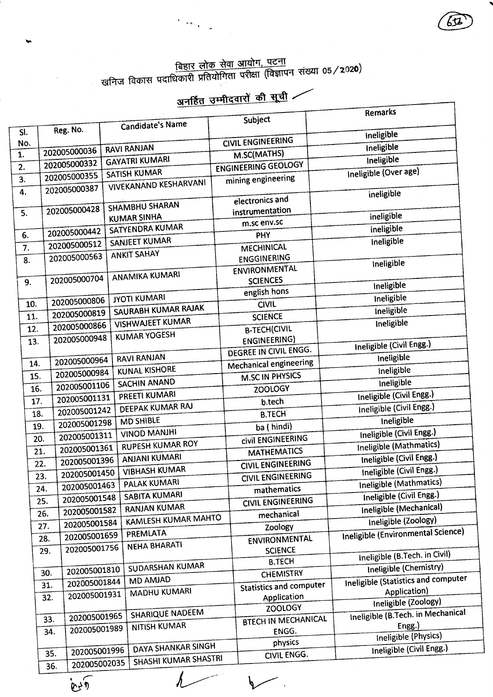<u>बिहार लोक सेवा आयोग, पटना</u><br>खनिज विकास पदाधिकारी प्रतियोगिता परीक्षा (विज्ञापन संख्या 05/**2**02**0**)

 $\langle \cdot, \cdot \rangle_{\mathcal{A}}$ 

 $\ddot{\phantom{1}}$ 

## अनर्हित उम्मीदवारों की सूची

652

|                  |                     |                                       |                                | Remarks                                    |
|------------------|---------------------|---------------------------------------|--------------------------------|--------------------------------------------|
|                  | Reg. No.            | Candidate's Name                      | Subject                        |                                            |
| SI.              |                     |                                       | <b>CIVIL ENGINEERING</b>       | Ineligible                                 |
| No.<br>1.        | 202005000036        | <b>RAVI RANJAN</b>                    | M.SC(MATHS)                    | <b>Ineligible</b>                          |
| $\overline{2}$ . | 202005000332        | <b>GAYATRI KUMARI</b>                 | ENGINEERING GEOLOGY            | Ineligible                                 |
| 3.               | 202005000355        | <b>SATISH KUMAR</b>                   | mining engineering             | Ineligible (Over age)                      |
| 4.               | 202005000387        | <b>VIVEKANAND KESHARVANI</b>          |                                |                                            |
|                  |                     |                                       | electronics and                | ineligible                                 |
| 5.               | 202005000428        | <b>SHAMBHU SHARAN</b>                 | instrumentation                | ineligible                                 |
|                  |                     | <b>KUMAR SINHA</b><br>SATYENDRA KUMAR | m.sc env.sc                    | ineligible                                 |
| 6.               | 202005000442        | SANJEET KUMAR                         | PHY                            | Ineligible                                 |
| 7.               | 202005000512        |                                       | MECHINICAL                     |                                            |
| 8.               | 202005000563        | <b>ANKIT SAHAY</b>                    | <b>ENGGINERING</b>             | Ineligible                                 |
|                  |                     | ANAMIKA KUMARI                        | ENVIRONMENTAL                  |                                            |
| 9.               | 202005000704        |                                       | <b>SCIENCES</b>                | Ineligible                                 |
|                  | 202005000806        | <b>JYOTI KUMARI</b>                   | english hons                   | ineligible                                 |
| 10.              | 202005000819        | SAURABH KUMAR RAJAK                   | <b>CIVIL</b>                   | Ineligible                                 |
| 11.              | 202005000866        | <b>VISHWAJEET KUMAR</b>               | <b>SCIENCE</b>                 | Ineligible                                 |
| 12.              |                     | <b>KUMAR YOGESH</b>                   | <b>B-TECH(CIVIL</b>            |                                            |
| 13.              | 202005000948        |                                       | <b>ENGINEERING)</b>            | Ineligible (Civil Engg.)                   |
|                  | 202005000964        | <b>RAVI RANJAN</b>                    | DEGREE IN CIVIL ENGG.          | Ineligible                                 |
| 14.              | 202005000984        | <b>KUNAL KISHORE</b>                  | Mechanical engineering         | Ineligible                                 |
| 15.              | 202005001106        | SACHIN ANAND                          | <b>M.SC IN PHYSICS</b>         | Ineligible                                 |
| 16.              | 202005001131        | PREETI KUMARI                         | <b>ZOOLOGY</b>                 | Ineligible (Civil Engg.)                   |
| 17.              | 202005001242        | DEEPAK KUMAR RAJ                      | b.tech                         | Ineligible (Civil Engg.)                   |
| 18.              | 202005001298        | <b>MD SHIBLE</b>                      | <b>B.TECH</b>                  | Ineligible                                 |
| 19.              | 202005001311        | <b>VINOD MANJHI</b>                   | ba (hindi)                     | Ineligible (Civil Engg.)                   |
| 20.              | 202005001361        | <b>RUPESH KUMAR ROY</b>               | civil ENGINEERING              | Ineligible (Mathmatics)                    |
| 21.              | 202005001396        | <b>ANJANI KUMARI</b>                  | <b>MATHEMATICS</b>             | Ineligible (Civil Engg.)                   |
| 22.              |                     | <b>VIBHASH KUMAR</b>                  | <b>CIVIL ENGINEERING</b>       | Ineligible (Civil Engg.)                   |
| 23.              | 202005001450        | PALAK KUMARI                          | <b>CIVIL ENGINEERING</b>       | Ineligible (Mathmatics)                    |
|                  | 202005001463<br>24. | <b>SABITA KUMARI</b>                  | mathematics                    | Ineligible (Civil Engg.)                   |
|                  | 202005001548<br>25. | <b>RANJAN KUMAR</b>                   | <b>CIVIL ENGINEERING</b>       | Ineligible (Mechanical)                    |
|                  | 202005001582<br>26. | KAMLESH KUMAR MAHTO                   | mechanical                     | Ineligible (Zoology)                       |
|                  | 202005001584<br>27. | PREMLATA                              | Zoology                        | Ineligible (Environmental Science)         |
|                  | 202005001659<br>28. | <b>NEHA BHARATI</b>                   | ENVIRONMENTAL                  |                                            |
|                  | 202005001756<br>29. |                                       | <b>SCIENCE</b>                 | Ineligible (B.Tech. in Civil)              |
|                  | 202005001810        | SUDARSHAN KUMAR                       | <b>B.TECH</b>                  | Ineligible (Chemistry)                     |
|                  | 30.<br>202005001844 | MD AMJAD                              | <b>CHEMISTRY</b>               | <b>Ineligible (Statistics and computer</b> |
|                  | 31.<br>202005001931 | MADHU KUMARI                          | <b>Statistics and computer</b> | Application)                               |
|                  | 32.                 |                                       | Application<br><b>ZOOLOGY</b>  | Ineligible (Zoology)                       |
|                  | 202005001965<br>33. | <b>SHARIQUE NADEEM</b>                | <b>BTECH IN MECHANICAL</b>     | Ineligible (B.Tech. in Mechanical          |
|                  | 202005001989<br>34. | <b>NITISH KUMAR</b>                   | ENGG.                          | Engg.)                                     |
|                  |                     |                                       | physics                        | Ineligible (Physics)                       |
|                  | 202005001996<br>35. | DAYA SHANKAR SINGH                    | CIVIL ENGG.                    | Ineligible (Civil Engg.)                   |
|                  | 202005002035<br>36. | SHASHI KUMAR SHASTRI                  |                                |                                            |

 $\ddot{\phantom{a}}$ 

 $\lambda$ 

 $\mathfrak{E}$